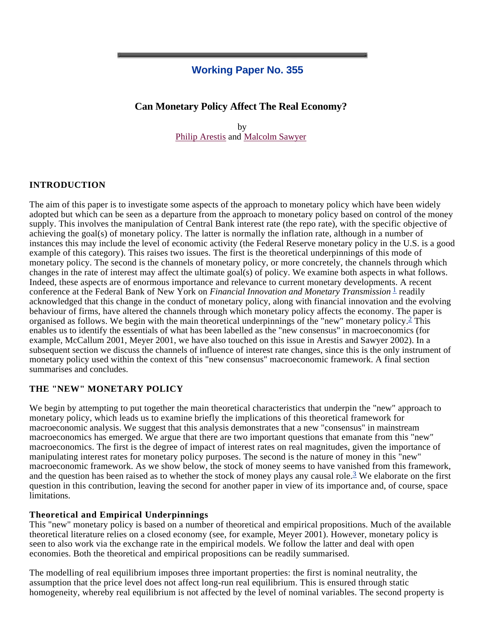# **Working Paper No. 355**

# **Can Monetary Policy Affect The Real Economy?**

by Philip Arestis and Malcolm Sawyer

#### **INTRODUCTION**

The aim of this paper is to investigate some aspects of the approach to monetary policy which have been widely adopted but which can be seen as a departure from the approach to monetary policy based on control of the money supply. This involves the manipulation of Central Bank interest rate (the repo rate), with the specific objective of achieving the goal(s) of monetary policy. The latter is normally the inflation rate, although in a number of instances this may include the level of economic activity (the Federal Reserve monetary policy in the U.S. is a good example of this category). This raises two issues. The first is the theoretical underpinnings of this mode of monetary policy. The second is the channels of monetary policy, or more concretely, the channels through which changes in the rate of interest may affect the ultimate goal(s) of policy. We examine both aspects in what follows. Indeed, these aspects are of enormous importance and relevance to current monetary developments. A recent conference at the Federal Bank of New York on *Financial Innovation and Monetary Transmission*  $\frac{1}{r}$  readily acknowledged that this change in the conduct of monetary policy, along with financial innovation and the evolving behaviour of firms, have altered the channels through which monetary policy affects the economy. The paper is organised as follows. We begin with the main theoretical underpinnings of the "new" monetary policy.2 This enables us to identify the essentials of what has been labelled as the "new consensus" in macroeconomics (for example, McCallum 2001, Meyer 2001, we have also touched on this issue in Arestis and Sawyer 2002). In a subsequent section we discuss the channels of influence of interest rate changes, since this is the only instrument of monetary policy used within the context of this "new consensus" macroeconomic framework. A final section summarises and concludes.

### **THE "NEW" MONETARY POLICY**

We begin by attempting to put together the main theoretical characteristics that underpin the "new" approach to monetary policy, which leads us to examine briefly the implications of this theoretical framework for macroeconomic analysis. We suggest that this analysis demonstrates that a new "consensus" in mainstream macroeconomics has emerged. We argue that there are two important questions that emanate from this "new" macroeconomics. The first is the degree of impact of interest rates on real magnitudes, given the importance of manipulating interest rates for monetary policy purposes. The second is the nature of money in this "new" macroeconomic framework. As we show below, the stock of money seems to have vanished from this framework, and the question has been raised as to whether the stock of money plays any causal role.<sup>3</sup> We elaborate on the first question in this contribution, leaving the second for another paper in view of its importance and, of course, space limitations.

#### **Theoretical and Empirical Underpinnings**

This "new" monetary policy is based on a number of theoretical and empirical propositions. Much of the available theoretical literature relies on a closed economy (see, for example, Meyer 2001). However, monetary policy is seen to also work via the exchange rate in the empirical models. We follow the latter and deal with open economies. Both the theoretical and empirical propositions can be readily summarised.

The modelling of real equilibrium imposes three important properties: the first is nominal neutrality, the assumption that the price level does not affect long-run real equilibrium. This is ensured through static homogeneity, whereby real equilibrium is not affected by the level of nominal variables. The second property is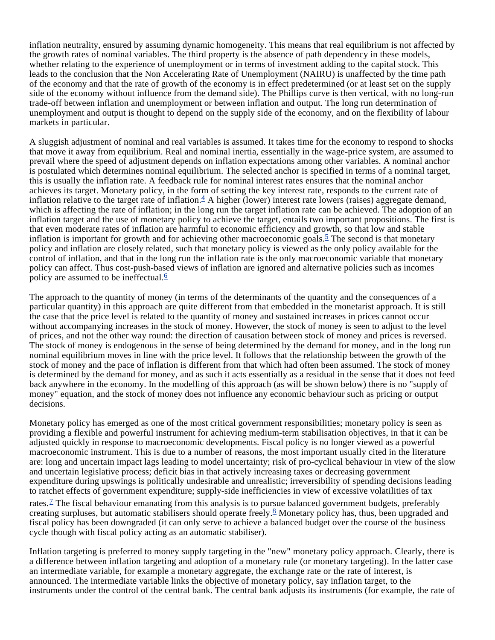inflation neutrality, ensured by assuming dynamic homogeneity. This means that real equilibrium is not affected by the growth rates of nominal variables. The third property is the absence of path dependency in these models, whether relating to the experience of unemployment or in terms of investment adding to the capital stock. This leads to the conclusion that the Non Accelerating Rate of Unemployment (NAIRU) is unaffected by the time path of the economy and that the rate of growth of the economy is in effect predetermined (or at least set on the supply side of the economy without influence from the demand side). The Phillips curve is then vertical, with no long-run trade-off between inflation and unemployment or between inflation and output. The long run determination of unemployment and output is thought to depend on the supply side of the economy, and on the flexibility of labour markets in particular.

A sluggish adjustment of nominal and real variables is assumed. It takes time for the economy to respond to shocks that move it away from equilibrium. Real and nominal inertia, essentially in the wage-price system, are assumed to prevail where the speed of adjustment depends on inflation expectations among other variables. A nominal anchor is postulated which determines nominal equilibrium. The selected anchor is specified in terms of a nominal target, this is usually the inflation rate. A feedback rule for nominal interest rates ensures that the nominal anchor achieves its target. Monetary policy, in the form of setting the key interest rate, responds to the current rate of inflation relative to the target rate of inflation. $\frac{4}{3}$  A higher (lower) interest rate lowers (raises) aggregate demand, which is affecting the rate of inflation; in the long run the target inflation rate can be achieved. The adoption of an inflation target and the use of monetary policy to achieve the target, entails two important propositions. The first is that even moderate rates of inflation are harmful to economic efficiency and growth, so that low and stable inflation is important for growth and for achieving other macroeconomic goals.<sup>5</sup> The second is that monetary policy and inflation are closely related, such that monetary policy is viewed as the only policy available for the control of inflation, and that in the long run the inflation rate is the only macroeconomic variable that monetary policy can affect. Thus cost-push-based views of inflation are ignored and alternative policies such as incomes policy are assumed to be ineffectual. $\frac{6}{5}$ 

The approach to the quantity of money (in terms of the determinants of the quantity and the consequences of a particular quantity) in this approach are quite different from that embedded in the monetarist approach. It is still the case that the price level is related to the quantity of money and sustained increases in prices cannot occur without accompanying increases in the stock of money. However, the stock of money is seen to adjust to the level of prices, and not the other way round: the direction of causation between stock of money and prices is reversed. The stock of money is endogenous in the sense of being determined by the demand for money, and in the long run nominal equilibrium moves in line with the price level. It follows that the relationship between the growth of the stock of money and the pace of inflation is different from that which had often been assumed. The stock of money is determined by the demand for money, and as such it acts essentially as a residual in the sense that it does not feed back anywhere in the economy. In the modelling of this approach (as will be shown below) there is no "supply of money" equation, and the stock of money does not influence any economic behaviour such as pricing or output decisions.

Monetary policy has emerged as one of the most critical government responsibilities; monetary policy is seen as providing a flexible and powerful instrument for achieving medium-term stabilisation objectives, in that it can be adjusted quickly in response to macroeconomic developments. Fiscal policy is no longer viewed as a powerful macroeconomic instrument. This is due to a number of reasons, the most important usually cited in the literature are: long and uncertain impact lags leading to model uncertainty; risk of pro-cyclical behaviour in view of the slow and uncertain legislative process; deficit bias in that actively increasing taxes or decreasing government expenditure during upswings is politically undesirable and unrealistic; irreversibility of spending decisions leading to ratchet effects of government expenditure; supply-side inefficiencies in view of excessive volatilities of tax

rates.7 The fiscal behaviour emanating from this analysis is to pursue balanced government budgets, preferably creating surpluses, but automatic stabilisers should operate freely.<sup>8</sup> Monetary policy has, thus, been upgraded and fiscal policy has been downgraded (it can only serve to achieve a balanced budget over the course of the business cycle though with fiscal policy acting as an automatic stabiliser).

Inflation targeting is preferred to money supply targeting in the "new" monetary policy approach. Clearly, there is a difference between inflation targeting and adoption of a monetary rule (or monetary targeting). In the latter case an intermediate variable, for example a monetary aggregate, the exchange rate or the rate of interest, is announced. The intermediate variable links the objective of monetary policy, say inflation target, to the instruments under the control of the central bank. The central bank adjusts its instruments (for example, the rate of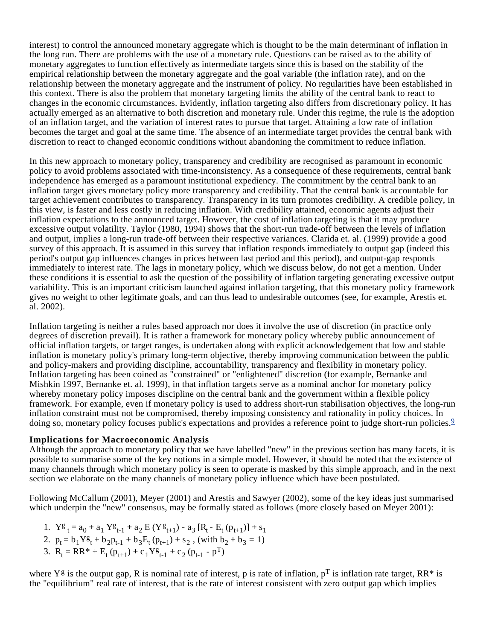interest) to control the announced monetary aggregate which is thought to be the main determinant of inflation in the long run. There are problems with the use of a monetary rule. Questions can be raised as to the ability of monetary aggregates to function effectively as intermediate targets since this is based on the stability of the empirical relationship between the monetary aggregate and the goal variable (the inflation rate), and on the relationship between the monetary aggregate and the instrument of policy. No regularities have been established in this context. There is also the problem that monetary targeting limits the ability of the central bank to react to changes in the economic circumstances. Evidently, inflation targeting also differs from discretionary policy. It has actually emerged as an alternative to both discretion and monetary rule. Under this regime, the rule is the adoption of an inflation target, and the variation of interest rates to pursue that target. Attaining a low rate of inflation becomes the target and goal at the same time. The absence of an intermediate target provides the central bank with discretion to react to changed economic conditions without abandoning the commitment to reduce inflation.

In this new approach to monetary policy, transparency and credibility are recognised as paramount in economic policy to avoid problems associated with time-inconsistency. As a consequence of these requirements, central bank independence has emerged as a paramount institutional expediency. The commitment by the central bank to an inflation target gives monetary policy more transparency and credibility. That the central bank is accountable for target achievement contributes to transparency. Transparency in its turn promotes credibility. A credible policy, in this view, is faster and less costly in reducing inflation. With credibility attained, economic agents adjust their inflation expectations to the announced target. However, the cost of inflation targeting is that it may produce excessive output volatility. Taylor (1980, 1994) shows that the short-run trade-off between the levels of inflation and output, implies a long-run trade-off between their respective variances. Clarida et. al. (1999) provide a good survey of this approach. It is assumed in this survey that inflation responds immediately to output gap (indeed this period's output gap influences changes in prices between last period and this period), and output-gap responds immediately to interest rate. The lags in monetary policy, which we discuss below, do not get a mention. Under these conditions it is essential to ask the question of the possibility of inflation targeting generating excessive output variability. This is an important criticism launched against inflation targeting, that this monetary policy framework gives no weight to other legitimate goals, and can thus lead to undesirable outcomes (see, for example, Arestis et. al. 2002).

Inflation targeting is neither a rules based approach nor does it involve the use of discretion (in practice only degrees of discretion prevail). It is rather a framework for monetary policy whereby public announcement of official inflation targets, or target ranges, is undertaken along with explicit acknowledgement that low and stable inflation is monetary policy's primary long-term objective, thereby improving communication between the public and policy-makers and providing discipline, accountability, transparency and flexibility in monetary policy. Inflation targeting has been coined as "constrained" or "enlightened" discretion (for example, Bernanke and Mishkin 1997, Bernanke et. al. 1999), in that inflation targets serve as a nominal anchor for monetary policy whereby monetary policy imposes discipline on the central bank and the government within a flexible policy framework. For example, even if monetary policy is used to address short-run stabilisation objectives, the long-run inflation constraint must not be compromised, thereby imposing consistency and rationality in policy choices. In doing so, monetary policy focuses public's expectations and provides a reference point to judge short-run policies.<sup>9</sup>

#### **Implications for Macroeconomic Analysis**

Although the approach to monetary policy that we have labelled "new" in the previous section has many facets, it is possible to summarise some of the key notions in a simple model. However, it should be noted that the existence of many channels through which monetary policy is seen to operate is masked by this simple approach, and in the next section we elaborate on the many channels of monetary policy influence which have been postulated.

Following McCallum (2001), Meyer (2001) and Arestis and Sawyer (2002), some of the key ideas just summarised which underpin the "new" consensus, may be formally stated as follows (more closely based on Meyer 2001):

- 1.  $Y_{t} = a_0 + a_1 Y_{t-1} + a_2 E (Y_{t+1}) a_3 [R_t E_t (p_{t+1})] + s_1$
- 2.  $p_t = b_1 Y^g_t + b_2 p_{t-1} + b_3 E_t (p_{t+1}) + s_2$ , (with  $b_2 + b_3 = 1$ )
- 3.  $R_t = RR^* + E_t (p_{t+1}) + c_1 Y_{t-1}^s + c_2 (p_{t-1} p^T)$

where Y<sup>g</sup> is the output gap, R is nominal rate of interest, p is rate of inflation,  $p^T$  is inflation rate target, RR<sup>\*</sup> is the "equilibrium" real rate of interest, that is the rate of interest consistent with zero output gap which implies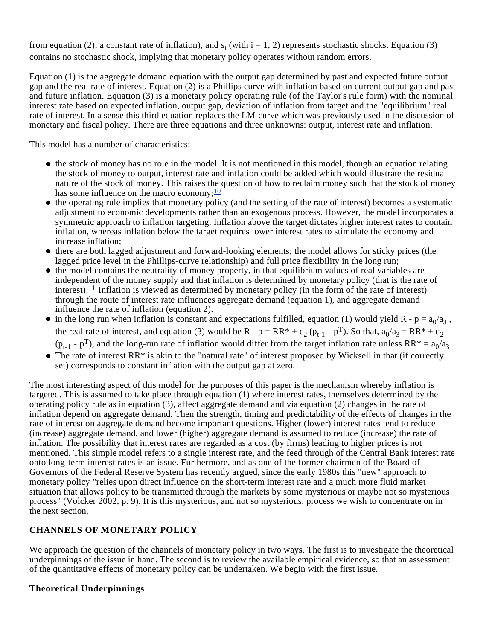from equation (2), a constant rate of inflation), and  $s_i$  (with  $i = 1, 2$ ) represents stochastic shocks. Equation (3) contains no stochastic shock, implying that monetary policy operates without random errors.

Equation (1) is the aggregate demand equation with the output gap determined by past and expected future output gap and the real rate of interest. Equation (2) is a Phillips curve with inflation based on current output gap and past and future inflation. Equation (3) is a monetary policy operating rule (of the Taylor's rule form) with the nominal interest rate based on expected inflation, output gap, deviation of inflation from target and the "equilibrium" real rate of interest. In a sense this third equation replaces the LM-curve which was previously used in the discussion of monetary and fiscal policy. There are three equations and three unknowns: output, interest rate and inflation.

This model has a number of characteristics:

- $\bullet$  the stock of money has no role in the model. It is not mentioned in this model, though an equation relating the stock of money to output, interest rate and inflation could be added which would illustrate the residual nature of the stock of money. This raises the question of how to reclaim money such that the stock of money has some influence on the macro economy; $\frac{10}{10}$
- the operating rule implies that monetary policy (and the setting of the rate of interest) becomes a systematic adjustment to economic developments rather than an exogenous process. However, the model incorporates a symmetric approach to inflation targeting. Inflation above the target dictates higher interest rates to contain inflation, whereas inflation below the target requires lower interest rates to stimulate the economy and increase inflation;
- there are both lagged adjustment and forward-looking elements; the model allows for sticky prices (the lagged price level in the Phillips-curve relationship) and full price flexibility in the long run;
- the model contains the neutrality of money property, in that equilibrium values of real variables are independent of the money supply and that inflation is determined by monetary policy (that is the rate of interest).<sup>11</sup> Inflation is viewed as determined by monetary policy (in the form of the rate of interest) through the route of interest rate influences aggregate demand (equation 1), and aggregate demand influence the rate of inflation (equation 2).
- in the long run when inflation is constant and expectations fulfilled, equation (1) would yield R  $p = a_0/a_3$ , the real rate of interest, and equation (3) would be R -  $p = RR^* + c_2 (p_{t-1} - p^T)$ . So that,  $a_0/a_3 = RR^* + c_2$  $(p_{t-1} - p^T)$ , and the long-run rate of inflation would differ from the target inflation rate unless  $RR^* = a_0/a_3$ .
- The rate of interest RR<sup>\*</sup> is akin to the "natural rate" of interest proposed by Wicksell in that (if correctly set) corresponds to constant inflation with the output gap at zero.

The most interesting aspect of this model for the purposes of this paper is the mechanism whereby inflation is targeted. This is assumed to take place through equation (1) where interest rates, themselves determined by the operating policy rule as in equation (3), affect aggregate demand and via equation (2) changes in the rate of inflation depend on aggregate demand. Then the strength, timing and predictability of the effects of changes in the rate of interest on aggregate demand become important questions. Higher (lower) interest rates tend to reduce (increase) aggregate demand, and lower (higher) aggregate demand is assumed to reduce (increase) the rate of inflation. The possibility that interest rates are regarded as a cost (by firms) leading to higher prices is not mentioned. This simple model refers to a single interest rate, and the feed through of the Central Bank interest rate onto long-term interest rates is an issue. Furthermore, and as one of the former chairmen of the Board of Governors of the Federal Reserve System has recently argued, since the early 1980s this "new" approach to monetary policy "relies upon direct influence on the short-term interest rate and a much more fluid market situation that allows policy to be transmitted through the markets by some mysterious or maybe not so mysterious process" (Volcker 2002, p. 9). It is this mysterious, and not so mysterious, process we wish to concentrate on in the next section.

# **CHANNELS OF MONETARY POLICY**

We approach the question of the channels of monetary policy in two ways. The first is to investigate the theoretical underpinnings of the issue in hand. The second is to review the available empirical evidence, so that an assessment of the quantitative effects of monetary policy can be undertaken. We begin with the first issue.

# **Theoretical Underpinnings**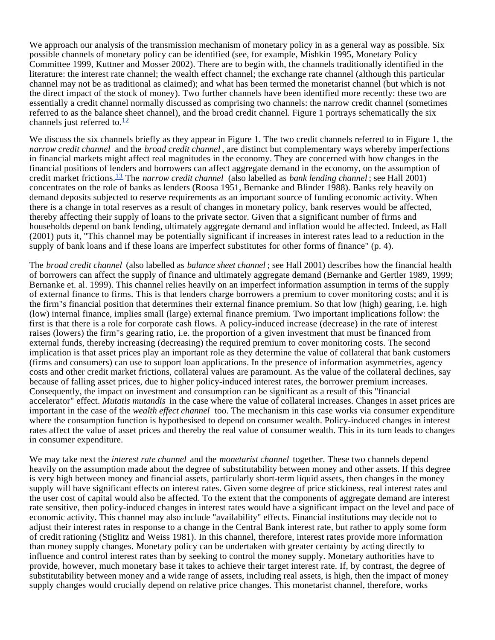We approach our analysis of the transmission mechanism of monetary policy in as a general way as possible. Six possible channels of monetary policy can be identified (see, for example, Mishkin 1995, Monetary Policy Committee 1999, Kuttner and Mosser 2002). There are to begin with, the channels traditionally identified in the literature: the interest rate channel; the wealth effect channel; the exchange rate channel (although this particular channel may not be as traditional as claimed); and what has been termed the monetarist channel (but which is not the direct impact of the stock of money). Two further channels have been identified more recently: these two are essentially a credit channel normally discussed as comprising two channels: the narrow credit channel (sometimes referred to as the balance sheet channel), and the broad credit channel. Figure 1 portrays schematically the six channels just referred to. $\frac{12}{2}$ 

We discuss the six channels briefly as they appear in Figure 1. The two credit channels referred to in Figure 1, the *narrow credit channel* and the *broad credit channel* , are distinct but complementary ways whereby imperfections in financial markets might affect real magnitudes in the economy. They are concerned with how changes in the financial positions of lenders and borrowers can affect aggregate demand in the economy, on the assumption of credit market frictions.13 The *narrow credit channel* (also labelled as *bank lending channel* ; see Hall 2001) concentrates on the role of banks as lenders (Roosa 1951, Bernanke and Blinder 1988). Banks rely heavily on demand deposits subjected to reserve requirements as an important source of funding economic activity. When there is a change in total reserves as a result of changes in monetary policy, bank reserves would be affected, thereby affecting their supply of loans to the private sector. Given that a significant number of firms and households depend on bank lending, ultimately aggregate demand and inflation would be affected. Indeed, as Hall (2001) puts it, "This channel may be potentially significant if increases in interest rates lead to a reduction in the supply of bank loans and if these loans are imperfect substitutes for other forms of finance" (p. 4).

The *broad credit channel* (also labelled as *balance sheet channel* ; see Hall 2001) describes how the financial health of borrowers can affect the supply of finance and ultimately aggregate demand (Bernanke and Gertler 1989, 1999; Bernanke et. al. 1999). This channel relies heavily on an imperfect information assumption in terms of the supply of external finance to firms. This is that lenders charge borrowers a premium to cover monitoring costs; and it is the firm"s financial position that determines their external finance premium. So that low (high) gearing, i.e. high (low) internal finance, implies small (large) external finance premium. Two important implications follow: the first is that there is a role for corporate cash flows. A policy-induced increase (decrease) in the rate of interest raises (lowers) the firm"s gearing ratio, i.e. the proportion of a given investment that must be financed from external funds, thereby increasing (decreasing) the required premium to cover monitoring costs. The second implication is that asset prices play an important role as they determine the value of collateral that bank customers (firms and consumers) can use to support loan applications. In the presence of information asymmetries, agency costs and other credit market frictions, collateral values are paramount. As the value of the collateral declines, say because of falling asset prices, due to higher policy-induced interest rates, the borrower premium increases. Consequently, the impact on investment and consumption can be significant as a result of this "financial accelerator" effect. *Mutatis mutandis* in the case where the value of collateral increases. Changes in asset prices are important in the case of the *wealth effect channel* too. The mechanism in this case works via consumer expenditure where the consumption function is hypothesised to depend on consumer wealth. Policy-induced changes in interest rates affect the value of asset prices and thereby the real value of consumer wealth. This in its turn leads to changes in consumer expenditure.

We may take next the *interest rate channel* and the *monetarist channel* together. These two channels depend heavily on the assumption made about the degree of substitutability between money and other assets. If this degree is very high between money and financial assets, particularly short-term liquid assets, then changes in the money supply will have significant effects on interest rates. Given some degree of price stickiness, real interest rates and the user cost of capital would also be affected. To the extent that the components of aggregate demand are interest rate sensitive, then policy-induced changes in interest rates would have a significant impact on the level and pace of economic activity. This channel may also include "availability" effects. Financial institutions may decide not to adjust their interest rates in response to a change in the Central Bank interest rate, but rather to apply some form of credit rationing (Stiglitz and Weiss 1981). In this channel, therefore, interest rates provide more information than money supply changes. Monetary policy can be undertaken with greater certainty by acting directly to influence and control interest rates than by seeking to control the money supply. Monetary authorities have to provide, however, much monetary base it takes to achieve their target interest rate. If, by contrast, the degree of substitutability between money and a wide range of assets, including real assets, is high, then the impact of money supply changes would crucially depend on relative price changes. This monetarist channel, therefore, works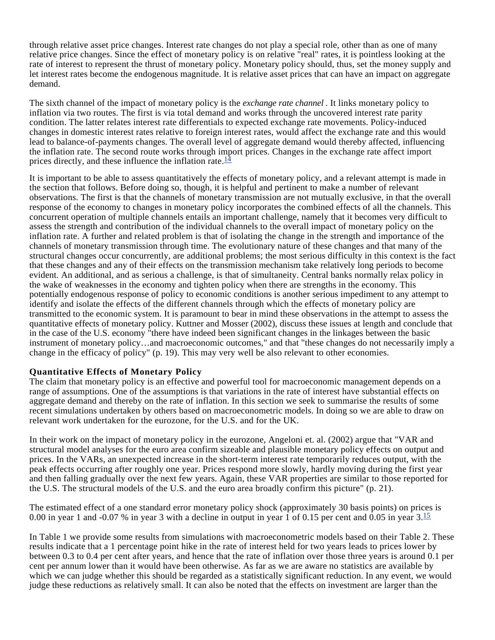through relative asset price changes. Interest rate changes do not play a special role, other than as one of many relative price changes. Since the effect of monetary policy is on relative "real" rates, it is pointless looking at the rate of interest to represent the thrust of monetary policy. Monetary policy should, thus, set the money supply and let interest rates become the endogenous magnitude. It is relative asset prices that can have an impact on aggregate demand.

The sixth channel of the impact of monetary policy is the *exchange rate channel* . It links monetary policy to inflation via two routes. The first is via total demand and works through the uncovered interest rate parity condition. The latter relates interest rate differentials to expected exchange rate movements. Policy-induced changes in domestic interest rates relative to foreign interest rates, would affect the exchange rate and this would lead to balance-of-payments changes. The overall level of aggregate demand would thereby affected, influencing the inflation rate. The second route works through import prices. Changes in the exchange rate affect import prices directly, and these influence the inflation rate. $\frac{14}{1}$ 

It is important to be able to assess quantitatively the effects of monetary policy, and a relevant attempt is made in the section that follows. Before doing so, though, it is helpful and pertinent to make a number of relevant observations. The first is that the channels of monetary transmission are not mutually exclusive, in that the overall response of the economy to changes in monetary policy incorporates the combined effects of all the channels. This concurrent operation of multiple channels entails an important challenge, namely that it becomes very difficult to assess the strength and contribution of the individual channels to the overall impact of monetary policy on the inflation rate. A further and related problem is that of isolating the change in the strength and importance of the channels of monetary transmission through time. The evolutionary nature of these changes and that many of the structural changes occur concurrently, are additional problems; the most serious difficulty in this context is the fact that these changes and any of their effects on the transmission mechanism take relatively long periods to become evident. An additional, and as serious a challenge, is that of simultaneity. Central banks normally relax policy in the wake of weaknesses in the economy and tighten policy when there are strengths in the economy. This potentially endogenous response of policy to economic conditions is another serious impediment to any attempt to identify and isolate the effects of the different channels through which the effects of monetary policy are transmitted to the economic system. It is paramount to bear in mind these observations in the attempt to assess the quantitative effects of monetary policy. Kuttner and Mosser (2002), discuss these issues at length and conclude that in the case of the U.S. economy "there have indeed been significant changes in the linkages between the basic instrument of monetary policy…and macroeconomic outcomes," and that "these changes do not necessarily imply a change in the efficacy of policy" (p. 19). This may very well be also relevant to other economies.

# **Quantitative Effects of Monetary Policy**

The claim that monetary policy is an effective and powerful tool for macroeconomic management depends on a range of assumptions. One of the assumptions is that variations in the rate of interest have substantial effects on aggregate demand and thereby on the rate of inflation. In this section we seek to summarise the results of some recent simulations undertaken by others based on macroeconometric models. In doing so we are able to draw on relevant work undertaken for the eurozone, for the U.S. and for the UK.

In their work on the impact of monetary policy in the eurozone, Angeloni et. al. (2002) argue that "VAR and structural model analyses for the euro area confirm sizeable and plausible monetary policy effects on output and prices. In the VARs, an unexpected increase in the short-term interest rate temporarily reduces output, with the peak effects occurring after roughly one year. Prices respond more slowly, hardly moving during the first year and then falling gradually over the next few years. Again, these VAR properties are similar to those reported for the U.S. The structural models of the U.S. and the euro area broadly confirm this picture" (p. 21).

The estimated effect of a one standard error monetary policy shock (approximately 30 basis points) on prices is 0.00 in year 1 and -0.07 % in year 3 with a decline in output in year 1 of 0.15 per cent and 0.05 in year 3.15

In Table 1 we provide some results from simulations with macroeconometric models based on their Table 2. These results indicate that a 1 percentage point hike in the rate of interest held for two years leads to prices lower by between 0.3 to 0.4 per cent after years, and hence that the rate of inflation over those three years is around 0.1 per cent per annum lower than it would have been otherwise. As far as we are aware no statistics are available by which we can judge whether this should be regarded as a statistically significant reduction. In any event, we would judge these reductions as relatively small. It can also be noted that the effects on investment are larger than the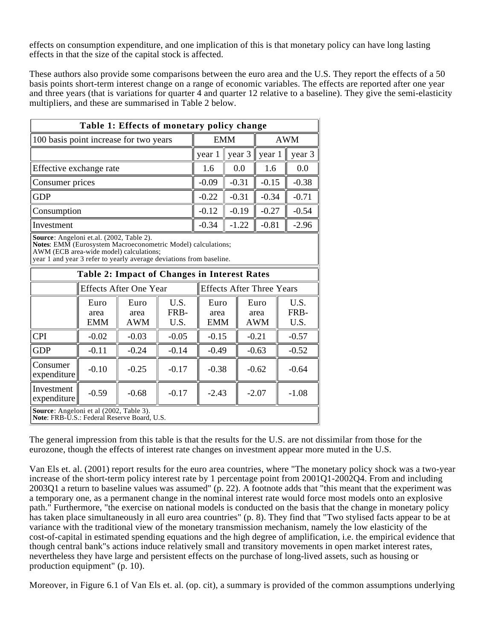effects on consumption expenditure, and one implication of this is that monetary policy can have long lasting effects in that the size of the capital stock is affected.

These authors also provide some comparisons between the euro area and the U.S. They report the effects of a 50 basis points short-term interest change on a range of economic variables. The effects are reported after one year and three years (that is variations for quarter 4 and quarter 12 relative to a baseline). They give the semi-elasticity multipliers, and these are summarised in Table 2 below.

| Table 1: Effects of monetary policy change |            |         |            |         |  |  |
|--------------------------------------------|------------|---------|------------|---------|--|--|
| 100 basis point increase for two years     | <b>EMM</b> |         | <b>AWM</b> |         |  |  |
|                                            | year 1     | year 3  | year 1     | year 3  |  |  |
| Effective exchange rate                    | 1.6        | 0.0     | 1.6        | 0.0     |  |  |
| Consumer prices                            | $-0.09$    | $-0.31$ | $-0.15$    | $-0.38$ |  |  |
| <b>GDP</b>                                 | $-0.22$    | $-0.31$ | $-0.34$    | $-0.71$ |  |  |
| Consumption                                | $-0.12$    | $-0.19$ | $-0.27$    | $-0.54$ |  |  |
| Investment                                 | $-0.34$    | $-1.22$ | $-0.81$    | $-2.96$ |  |  |

**Source**: Angeloni et.al. (2002, Table 2).

**Notes**: EMM (Eurosystem Macroeconometric Model) calculations;

AWM (ECB area-wide model) calculations;

year 1 and year 3 refer to yearly average deviations from baseline.

| <b>Table 2: Impact of Changes in Interest Rates</b>                                    |                            |                               |                      |                            |                                  |                      |  |  |
|----------------------------------------------------------------------------------------|----------------------------|-------------------------------|----------------------|----------------------------|----------------------------------|----------------------|--|--|
|                                                                                        |                            | <b>Effects After One Year</b> |                      |                            | <b>Effects After Three Years</b> |                      |  |  |
|                                                                                        | Euro<br>area<br><b>EMM</b> | Euro<br>area<br><b>AWM</b>    | U.S.<br>FRB-<br>U.S. | Euro<br>area<br><b>EMM</b> | Euro<br>area<br><b>AWM</b>       | U.S.<br>FRB-<br>U.S. |  |  |
| <b>CPI</b>                                                                             | $-0.02$                    | $-0.03$                       | $-0.05$              | $-0.15$                    | $-0.21$                          | $-0.57$              |  |  |
| <b>GDP</b>                                                                             | $-0.11$                    | $-0.24$                       | $-0.14$              | $-0.49$                    | $-0.63$                          | $-0.52$              |  |  |
| Consumer<br>expenditure                                                                | $-0.10$                    | $-0.25$                       | $-0.17$              | $-0.38$                    | $-0.62$                          | $-0.64$              |  |  |
| Investment<br>expenditure                                                              | $-0.59$                    | $-0.68$                       | $-0.17$              | $-2.43$                    | $-2.07$                          | $-1.08$              |  |  |
| Source: Angeloni et al (2002, Table 3).<br>Note: FRB-U.S.: Federal Reserve Board, U.S. |                            |                               |                      |                            |                                  |                      |  |  |

The general impression from this table is that the results for the U.S. are not dissimilar from those for the eurozone, though the effects of interest rate changes on investment appear more muted in the U.S.

Van Els et. al. (2001) report results for the euro area countries, where "The monetary policy shock was a two-year increase of the short-term policy interest rate by 1 percentage point from 2001Q1-2002Q4. From and including 2003Q1 a return to baseline values was assumed" (p. 22). A footnote adds that "this meant that the experiment was a temporary one, as a permanent change in the nominal interest rate would force most models onto an explosive path." Furthermore, "the exercise on national models is conducted on the basis that the change in monetary policy has taken place simultaneously in all euro area countries" (p. 8). They find that "Two stylised facts appear to be at variance with the traditional view of the monetary transmission mechanism, namely the low elasticity of the cost-of-capital in estimated spending equations and the high degree of amplification, i.e. the empirical evidence that though central bank"s actions induce relatively small and transitory movements in open market interest rates, nevertheless they have large and persistent effects on the purchase of long-lived assets, such as housing or production equipment" (p. 10).

Moreover, in Figure 6.1 of Van Els et. al. (op. cit), a summary is provided of the common assumptions underlying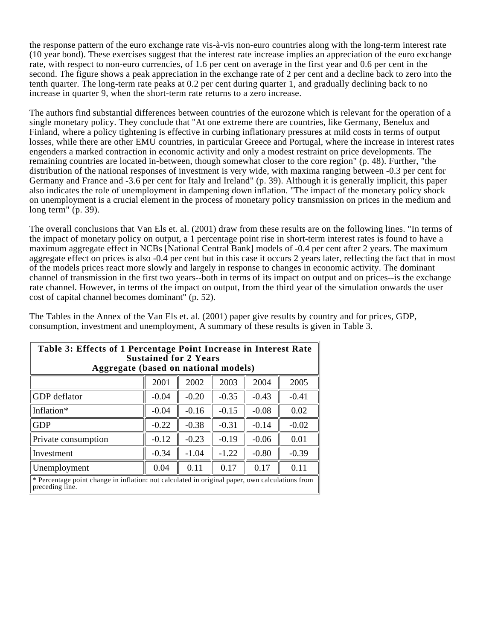the response pattern of the euro exchange rate vis-à-vis non-euro countries along with the long-term interest rate (10 year bond). These exercises suggest that the interest rate increase implies an appreciation of the euro exchange rate, with respect to non-euro currencies, of 1.6 per cent on average in the first year and 0.6 per cent in the second. The figure shows a peak appreciation in the exchange rate of 2 per cent and a decline back to zero into the tenth quarter. The long-term rate peaks at 0.2 per cent during quarter 1, and gradually declining back to no increase in quarter 9, when the short-term rate returns to a zero increase.

The authors find substantial differences between countries of the eurozone which is relevant for the operation of a single monetary policy. They conclude that "At one extreme there are countries, like Germany, Benelux and Finland, where a policy tightening is effective in curbing inflationary pressures at mild costs in terms of output losses, while there are other EMU countries, in particular Greece and Portugal, where the increase in interest rates engenders a marked contraction in economic activity and only a modest restraint on price developments. The remaining countries are located in-between, though somewhat closer to the core region" (p. 48). Further, "the distribution of the national responses of investment is very wide, with maxima ranging between -0.3 per cent for Germany and France and -3.6 per cent for Italy and Ireland" (p. 39). Although it is generally implicit, this paper also indicates the role of unemployment in dampening down inflation. "The impact of the monetary policy shock on unemployment is a crucial element in the process of monetary policy transmission on prices in the medium and long term" (p. 39).

The overall conclusions that Van Els et. al. (2001) draw from these results are on the following lines. "In terms of the impact of monetary policy on output, a 1 percentage point rise in short-term interest rates is found to have a maximum aggregate effect in NCBs [National Central Bank] models of -0.4 per cent after 2 years. The maximum aggregate effect on prices is also -0.4 per cent but in this case it occurs 2 years later, reflecting the fact that in most of the models prices react more slowly and largely in response to changes in economic activity. The dominant channel of transmission in the first two years--both in terms of its impact on output and on prices--is the exchange rate channel. However, in terms of the impact on output, from the third year of the simulation onwards the user cost of capital channel becomes dominant" (p. 52).

The Tables in the Annex of the Van Els et. al. (2001) paper give results by country and for prices, GDP, consumption, investment and unemployment, A summary of these results is given in Table 3.

| Table 3: Effects of 1 Percentage Point Increase in Interest Rate<br><b>Sustained for 2 Years</b><br>Aggregate (based on national models) |         |         |         |         |         |  |
|------------------------------------------------------------------------------------------------------------------------------------------|---------|---------|---------|---------|---------|--|
|                                                                                                                                          | 2001    | 2002    | 2003    | 2004    | 2005    |  |
| GDP deflator                                                                                                                             | $-0.04$ | $-0.20$ | $-0.35$ | $-0.43$ | $-0.41$ |  |
| Inflation*                                                                                                                               | $-0.04$ | $-0.16$ | $-0.15$ | $-0.08$ | 0.02    |  |
| <b>GDP</b>                                                                                                                               | $-0.22$ | $-0.38$ | $-0.31$ | $-0.14$ | $-0.02$ |  |
| Private consumption                                                                                                                      | $-0.12$ | $-0.23$ | $-0.19$ | $-0.06$ | 0.01    |  |
| Investment                                                                                                                               | $-0.34$ | $-1.04$ | $-1.22$ | $-0.80$ | $-0.39$ |  |
| Unemployment                                                                                                                             | 0.04    | 0.11    | 0.17    | 0.17    | 0.11    |  |
| * Percentage point change in inflation: not calculated in original paper, own calculations from<br>preceding line.                       |         |         |         |         |         |  |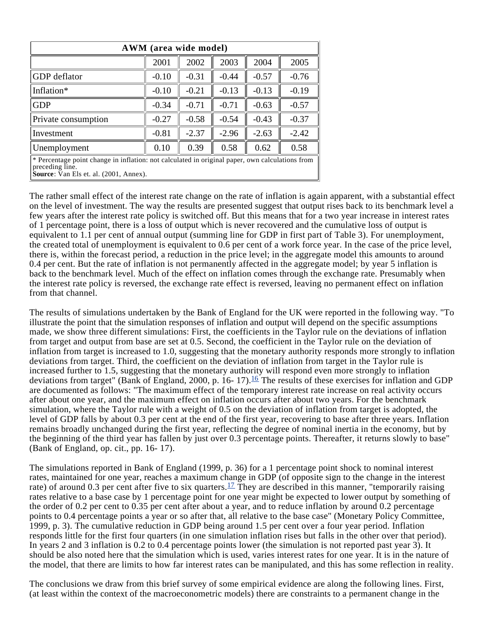| AWM (area wide model)                                                                                                                                               |         |         |         |         |         |
|---------------------------------------------------------------------------------------------------------------------------------------------------------------------|---------|---------|---------|---------|---------|
|                                                                                                                                                                     | 2001    | 2002    | 2003    | 2004    | 2005    |
| GDP deflator                                                                                                                                                        | $-0.10$ | $-0.31$ | $-0.44$ | $-0.57$ | $-0.76$ |
| Inflation*                                                                                                                                                          | $-0.10$ | $-0.21$ | $-0.13$ | $-0.13$ | $-0.19$ |
| <b>GDP</b>                                                                                                                                                          | $-0.34$ | $-0.71$ | $-0.71$ | $-0.63$ | $-0.57$ |
| Private consumption                                                                                                                                                 | $-0.27$ | $-0.58$ | $-0.54$ | $-0.43$ | $-0.37$ |
| Investment                                                                                                                                                          | $-0.81$ | $-2.37$ | $-2.96$ | $-2.63$ | $-2.42$ |
| Unemployment                                                                                                                                                        | 0.10    | 0.39    | 0.58    | 0.62    | 0.58    |
| * Percentage point change in inflation: not calculated in original paper, own calculations from<br>preceding line.<br><b>Source:</b> Van Els et. al. (2001, Annex). |         |         |         |         |         |

The rather small effect of the interest rate change on the rate of inflation is again apparent, with a substantial effect on the level of investment. The way the results are presented suggest that output rises back to its benchmark level a few years after the interest rate policy is switched off. But this means that for a two year increase in interest rates of 1 percentage point, there is a loss of output which is never recovered and the cumulative loss of output is equivalent to 1.1 per cent of annual output (summing line for GDP in first part of Table 3). For unemployment, the created total of unemployment is equivalent to 0.6 per cent of a work force year. In the case of the price level, there is, within the forecast period, a reduction in the price level; in the aggregate model this amounts to around 0.4 per cent. But the rate of inflation is not permanently affected in the aggregate model; by year 5 inflation is back to the benchmark level. Much of the effect on inflation comes through the exchange rate. Presumably when the interest rate policy is reversed, the exchange rate effect is reversed, leaving no permanent effect on inflation from that channel.

The results of simulations undertaken by the Bank of England for the UK were reported in the following way. "To illustrate the point that the simulation responses of inflation and output will depend on the specific assumptions made, we show three different simulations: First, the coefficients in the Taylor rule on the deviations of inflation from target and output from base are set at 0.5. Second, the coefficient in the Taylor rule on the deviation of inflation from target is increased to 1.0, suggesting that the monetary authority responds more strongly to inflation deviations from target. Third, the coefficient on the deviation of inflation from target in the Taylor rule is increased further to 1.5, suggesting that the monetary authority will respond even more strongly to inflation deviations from target" (Bank of England, 2000, p. 16-17).<sup>16</sup> The results of these exercises for inflation and GDP are documented as follows: "The maximum effect of the temporary interest rate increase on real activity occurs after about one year, and the maximum effect on inflation occurs after about two years. For the benchmark simulation, where the Taylor rule with a weight of 0.5 on the deviation of inflation from target is adopted, the level of GDP falls by about 0.3 per cent at the end of the first year, recovering to base after three years. Inflation remains broadly unchanged during the first year, reflecting the degree of nominal inertia in the economy, but by the beginning of the third year has fallen by just over 0.3 percentage points. Thereafter, it returns slowly to base" (Bank of England, op. cit., pp. 16- 17).

The simulations reported in Bank of England (1999, p. 36) for a 1 percentage point shock to nominal interest rates, maintained for one year, reaches a maximum change in GDP (of opposite sign to the change in the interest rate) of around 0.3 per cent after five to six quarters.<sup>17</sup> They are described in this manner, "temporarily raising rates relative to a base case by 1 percentage point for one year might be expected to lower output by something of the order of 0.2 per cent to 0.35 per cent after about a year, and to reduce inflation by around 0.2 percentage points to 0.4 percentage points a year or so after that, all relative to the base case" (Monetary Policy Committee, 1999, p. 3). The cumulative reduction in GDP being around 1.5 per cent over a four year period. Inflation responds little for the first four quarters (in one simulation inflation rises but falls in the other over that period). In years 2 and 3 inflation is 0.2 to 0.4 percentage points lower (the simulation is not reported past year 3). It should be also noted here that the simulation which is used, varies interest rates for one year. It is in the nature of the model, that there are limits to how far interest rates can be manipulated, and this has some reflection in reality.

The conclusions we draw from this brief survey of some empirical evidence are along the following lines. First, (at least within the context of the macroeconometric models) there are constraints to a permanent change in the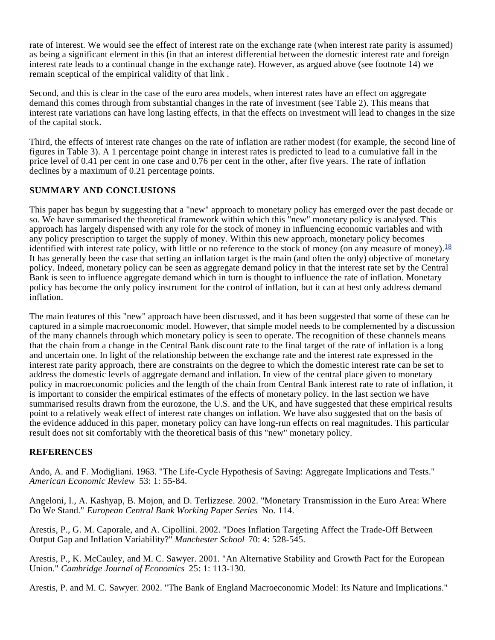rate of interest. We would see the effect of interest rate on the exchange rate (when interest rate parity is assumed) as being a significant element in this (in that an interest differential between the domestic interest rate and foreign interest rate leads to a continual change in the exchange rate). However, as argued above (see footnote 14) we remain sceptical of the empirical validity of that link .

Second, and this is clear in the case of the euro area models, when interest rates have an effect on aggregate demand this comes through from substantial changes in the rate of investment (see Table 2). This means that interest rate variations can have long lasting effects, in that the effects on investment will lead to changes in the size of the capital stock.

Third, the effects of interest rate changes on the rate of inflation are rather modest (for example, the second line of figures in Table 3). A 1 percentage point change in interest rates is predicted to lead to a cumulative fall in the price level of 0.41 per cent in one case and 0.76 per cent in the other, after five years. The rate of inflation declines by a maximum of 0.21 percentage points.

### **SUMMARY AND CONCLUSIONS**

This paper has begun by suggesting that a "new" approach to monetary policy has emerged over the past decade or so. We have summarised the theoretical framework within which this "new" monetary policy is analysed. This approach has largely dispensed with any role for the stock of money in influencing economic variables and with any policy prescription to target the supply of money. Within this new approach, monetary policy becomes identified with interest rate policy, with little or no reference to the stock of money (on any measure of money). $\frac{18}{18}$ It has generally been the case that setting an inflation target is the main (and often the only) objective of monetary policy. Indeed, monetary policy can be seen as aggregate demand policy in that the interest rate set by the Central Bank is seen to influence aggregate demand which in turn is thought to influence the rate of inflation. Monetary policy has become the only policy instrument for the control of inflation, but it can at best only address demand inflation.

The main features of this "new" approach have been discussed, and it has been suggested that some of these can be captured in a simple macroeconomic model. However, that simple model needs to be complemented by a discussion of the many channels through which monetary policy is seen to operate. The recognition of these channels means that the chain from a change in the Central Bank discount rate to the final target of the rate of inflation is a long and uncertain one. In light of the relationship between the exchange rate and the interest rate expressed in the interest rate parity approach, there are constraints on the degree to which the domestic interest rate can be set to address the domestic levels of aggregate demand and inflation. In view of the central place given to monetary policy in macroeconomic policies and the length of the chain from Central Bank interest rate to rate of inflation, it is important to consider the empirical estimates of the effects of monetary policy. In the last section we have summarised results drawn from the eurozone, the U.S. and the UK, and have suggested that these empirical results point to a relatively weak effect of interest rate changes on inflation. We have also suggested that on the basis of the evidence adduced in this paper, monetary policy can have long-run effects on real magnitudes. This particular result does not sit comfortably with the theoretical basis of this "new" monetary policy.

#### **REFERENCES**

Ando, A. and F. Modigliani. 1963. "The Life-Cycle Hypothesis of Saving: Aggregate Implications and Tests." *American Economic Review* 53: 1: 55-84.

Angeloni, I., A. Kashyap, B. Mojon, and D. Terlizzese. 2002. "Monetary Transmission in the Euro Area: Where Do We Stand." *European Central Bank Working Paper Series* No. 114.

Arestis, P., G. M. Caporale, and A. Cipollini. 2002. "Does Inflation Targeting Affect the Trade-Off Between Output Gap and Inflation Variability?" *Manchester School* 70: 4: 528-545.

Arestis, P., K. McCauley, and M. C. Sawyer. 2001. "An Alternative Stability and Growth Pact for the European Union." *Cambridge Journal of Economics* 25: 1: 113-130.

Arestis, P. and M. C. Sawyer. 2002. "The Bank of England Macroeconomic Model: Its Nature and Implications."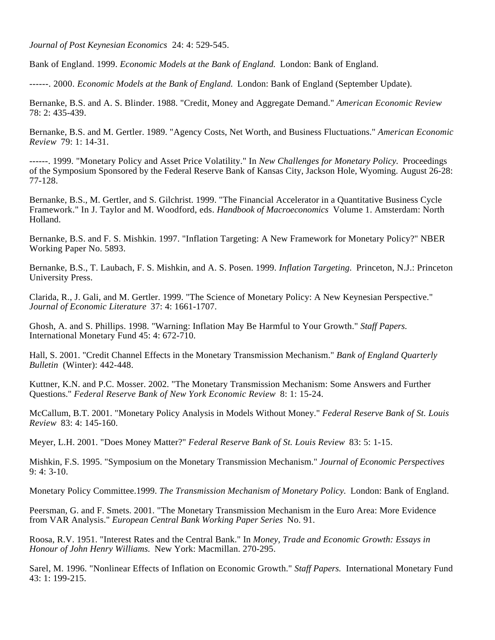*Journal of Post Keynesian Economics* 24: 4: 529-545.

Bank of England. 1999. *Economic Models at the Bank of England.* London: Bank of England.

------. 2000. *Economic Models at the Bank of England.* London: Bank of England (September Update).

Bernanke, B.S. and A. S. Blinder. 1988. "Credit, Money and Aggregate Demand." *American Economic Review* 78: 2: 435-439.

Bernanke, B.S. and M. Gertler. 1989. "Agency Costs, Net Worth, and Business Fluctuations." *American Economic Review* 79: 1: 14-31.

------. 1999. "Monetary Policy and Asset Price Volatility." In *New Challenges for Monetary Policy.* Proceedings of the Symposium Sponsored by the Federal Reserve Bank of Kansas City, Jackson Hole, Wyoming. August 26-28: 77-128.

Bernanke, B.S., M. Gertler, and S. Gilchrist. 1999. "The Financial Accelerator in a Quantitative Business Cycle Framework." In J. Taylor and M. Woodford, eds. *Handbook of Macroeconomics* Volume 1. Amsterdam: North Holland.

Bernanke, B.S. and F. S. Mishkin. 1997. "Inflation Targeting: A New Framework for Monetary Policy?" NBER Working Paper No. 5893.

Bernanke, B.S., T. Laubach, F. S. Mishkin, and A. S. Posen. 1999. *Inflation Targeting.* Princeton, N.J.: Princeton University Press.

Clarida, R., J. Gali, and M. Gertler. 1999. "The Science of Monetary Policy: A New Keynesian Perspective." *Journal of Economic Literature* 37: 4: 1661-1707.

Ghosh, A. and S. Phillips. 1998. "Warning: Inflation May Be Harmful to Your Growth." *Staff Papers.* International Monetary Fund 45: 4: 672-710.

Hall, S. 2001. "Credit Channel Effects in the Monetary Transmission Mechanism." *Bank of England Quarterly Bulletin* (Winter): 442-448.

Kuttner, K.N. and P.C. Mosser. 2002. "The Monetary Transmission Mechanism: Some Answers and Further Questions." *Federal Reserve Bank of New York Economic Review* 8: 1: 15-24.

McCallum, B.T. 2001. "Monetary Policy Analysis in Models Without Money." *Federal Reserve Bank of St. Louis Review* 83: 4: 145-160.

Meyer, L.H. 2001. "Does Money Matter?" *Federal Reserve Bank of St. Louis Review* 83: 5: 1-15.

Mishkin, F.S. 1995. "Symposium on the Monetary Transmission Mechanism." *Journal of Economic Perspectives* 9: 4: 3-10.

Monetary Policy Committee.1999. *The Transmission Mechanism of Monetary Policy.* London: Bank of England.

Peersman, G. and F. Smets. 2001. "The Monetary Transmission Mechanism in the Euro Area: More Evidence from VAR Analysis." *European Central Bank Working Paper Series* No. 91.

Roosa, R.V. 1951. "Interest Rates and the Central Bank." In *Money, Trade and Economic Growth: Essays in Honour of John Henry Williams.* New York: Macmillan. 270-295.

Sarel, M. 1996. "Nonlinear Effects of Inflation on Economic Growth." *Staff Papers.* International Monetary Fund 43: 1: 199-215.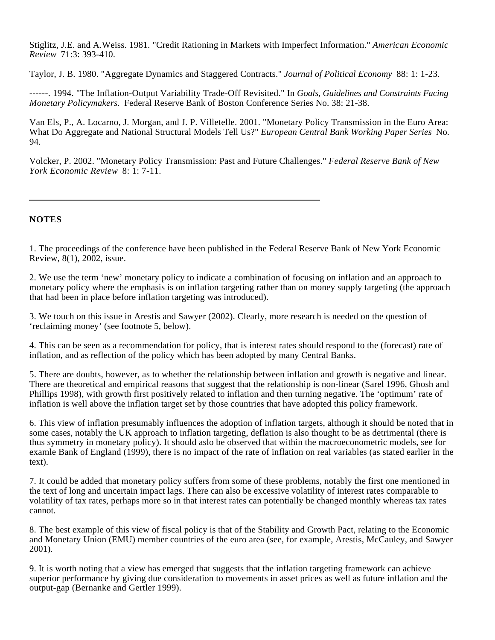Stiglitz, J.E. and A.Weiss. 1981. "Credit Rationing in Markets with Imperfect Information." *American Economic Review* 71:3: 393-410.

Taylor, J. B. 1980. "Aggregate Dynamics and Staggered Contracts." *Journal of Political Economy* 88: 1: 1-23.

------. 1994. "The Inflation-Output Variability Trade-Off Revisited." In *Goals, Guidelines and Constraints Facing Monetary Policymakers.* Federal Reserve Bank of Boston Conference Series No. 38: 21-38.

Van Els, P., A. Locarno, J. Morgan, and J. P. Villetelle. 2001. "Monetary Policy Transmission in the Euro Area: What Do Aggregate and National Structural Models Tell Us?" *European Central Bank Working Paper Series* No. 94.

Volcker, P. 2002. "Monetary Policy Transmission: Past and Future Challenges." *Federal Reserve Bank of New York Economic Review* 8: 1: 7-11.

#### **NOTES**

1. The proceedings of the conference have been published in the Federal Reserve Bank of New York Economic Review, 8(1), 2002, issue.

2. We use the term 'new' monetary policy to indicate a combination of focusing on inflation and an approach to monetary policy where the emphasis is on inflation targeting rather than on money supply targeting (the approach that had been in place before inflation targeting was introduced).

3. We touch on this issue in Arestis and Sawyer (2002). Clearly, more research is needed on the question of 'reclaiming money' (see footnote 5, below).

4. This can be seen as a recommendation for policy, that is interest rates should respond to the (forecast) rate of inflation, and as reflection of the policy which has been adopted by many Central Banks.

5. There are doubts, however, as to whether the relationship between inflation and growth is negative and linear. There are theoretical and empirical reasons that suggest that the relationship is non-linear (Sarel 1996, Ghosh and Phillips 1998), with growth first positively related to inflation and then turning negative. The 'optimum' rate of inflation is well above the inflation target set by those countries that have adopted this policy framework.

6. This view of inflation presumably influences the adoption of inflation targets, although it should be noted that in some cases, notably the  $\tilde{U}K$  approach to inflation targeting, deflation is also thought to be as detrimental (there is thus symmetry in monetary policy). It should aslo be observed that within the macroeconometric models, see for examle Bank of England (1999), there is no impact of the rate of inflation on real variables (as stated earlier in the text).

7. It could be added that monetary policy suffers from some of these problems, notably the first one mentioned in the text of long and uncertain impact lags. There can also be excessive volatility of interest rates comparable to volatility of tax rates, perhaps more so in that interest rates can potentially be changed monthly whereas tax rates cannot.

8. The best example of this view of fiscal policy is that of the Stability and Growth Pact, relating to the Economic and Monetary Union (EMU) member countries of the euro area (see, for example, Arestis, McCauley, and Sawyer 2001).

9. It is worth noting that a view has emerged that suggests that the inflation targeting framework can achieve superior performance by giving due consideration to movements in asset prices as well as future inflation and the output-gap (Bernanke and Gertler 1999).